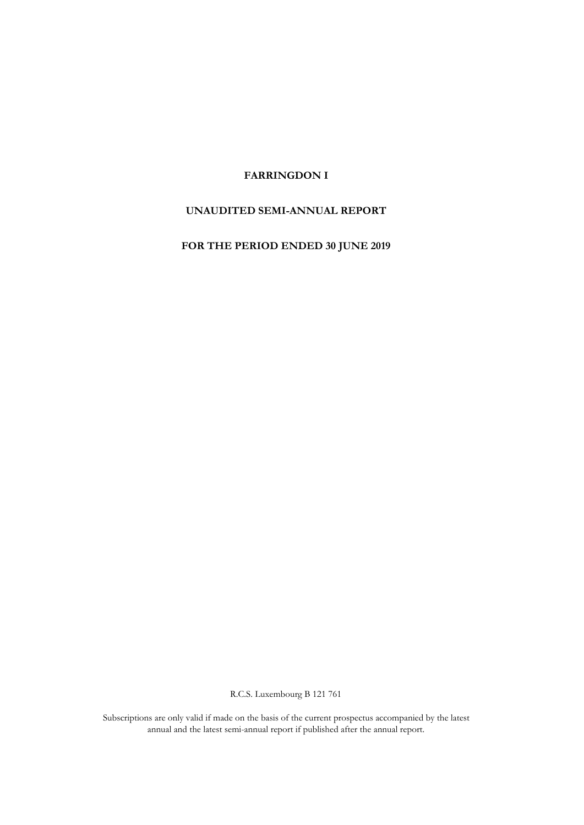# **UNAUDITED SEMI-ANNUAL REPORT**

**FOR THE PERIOD ENDED 30 JUNE 2019**

R.C.S. Luxembourg B 121 761

annual and the latest semi-annual report if published after the annual report. Subscriptions are only valid if made on the basis of the current prospectus accompanied by the latest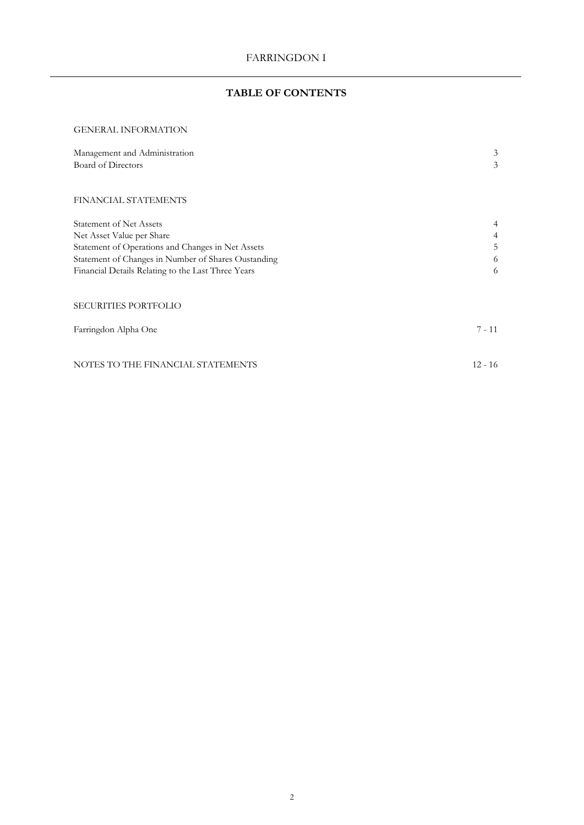# **TABLE OF CONTENTS**

## GENERAL INFORMATION

| Management and Administration                       | 3         |
|-----------------------------------------------------|-----------|
| Board of Directors                                  | 3         |
|                                                     |           |
| FINANCIAL STATEMENTS                                |           |
| <b>Statement of Net Assets</b>                      | 4         |
| Net Asset Value per Share                           | 4         |
| Statement of Operations and Changes in Net Assets   | 5         |
| Statement of Changes in Number of Shares Oustanding | 6         |
| Financial Details Relating to the Last Three Years  | 6         |
| <b>SECURITIES PORTFOLIO</b>                         |           |
|                                                     |           |
| Farringdon Alpha One                                | $7 - 11$  |
|                                                     |           |
| NOTES TO THE FINANCIAL STATEMENTS                   | $12 - 16$ |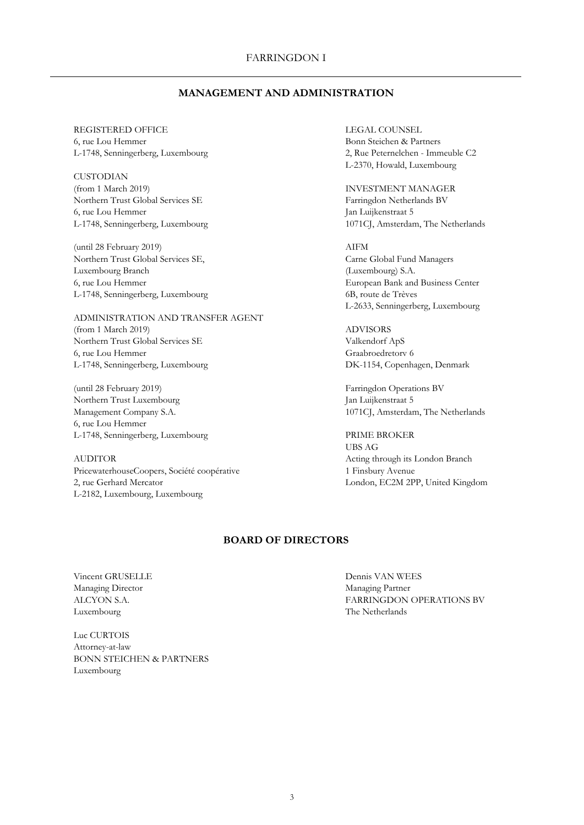# **MANAGEMENT AND ADMINISTRATION**

REGISTERED OFFICE LEGAL COUNSEL 6, rue Lou Hemmer Bonn Steichen & Partners L-1748, Senningerberg, Luxembourg 2, Rue Peternelchen - Immeuble C2

CUSTODIAN (from 1 March 2019) INVESTMENT MANAGER Northern Trust Global Services SE Farringdon Netherlands BV 6, rue Lou Hemmer Jan Luijkenstraat 5

(until 28 February 2019) AIFM Northern Trust Global Services SE, Carne Global Fund Managers Luxembourg Branch (Luxembourg) S.A. L-1748, Senningerberg, Luxembourg 6B, route de Trèves

ADMINISTRATION AND TRANSFER AGENT (from 1 March 2019) ADVISORS Northern Trust Global Services SE Valkendorf ApS 6, rue Lou Hemmer Graabroedretorv 6 L-1748, Senningerberg, Luxembourg DK-1154, Copenhagen, Denmark

(until 28 February 2019) Farringdon Operations BV Northern Trust Luxembourg Jan Luijkenstraat 5 6, rue Lou Hemmer L-1748, Senningerberg, Luxembourg PRIME BROKER

AUDITOR Acting through its London Branch PricewaterhouseCoopers, Société coopérative 1 Finsbury Avenue 2, rue Gerhard Mercator London, EC2M 2PP, United Kingdom L-2182, Luxembourg, Luxembourg

L-2370, Howald, Luxembourg

L-1748, Senningerberg, Luxembourg 1071CJ, Amsterdam, The Netherlands

6, rue Lou Hemmer European Bank and Business Center L-2633, Senningerberg, Luxembourg

Management Company S.A. 1071CJ, Amsterdam, The Netherlands

UBS AG

# **BOARD OF DIRECTORS**

Managing Director Managing Partner Luxembourg The Netherlands

Luc CURTOIS Attorney-at-law BONN STEICHEN & PARTNERS Luxembourg

Vincent GRUSELLE Dennis VAN WEES ALCYON S.A. FARRINGDON OPERATIONS BV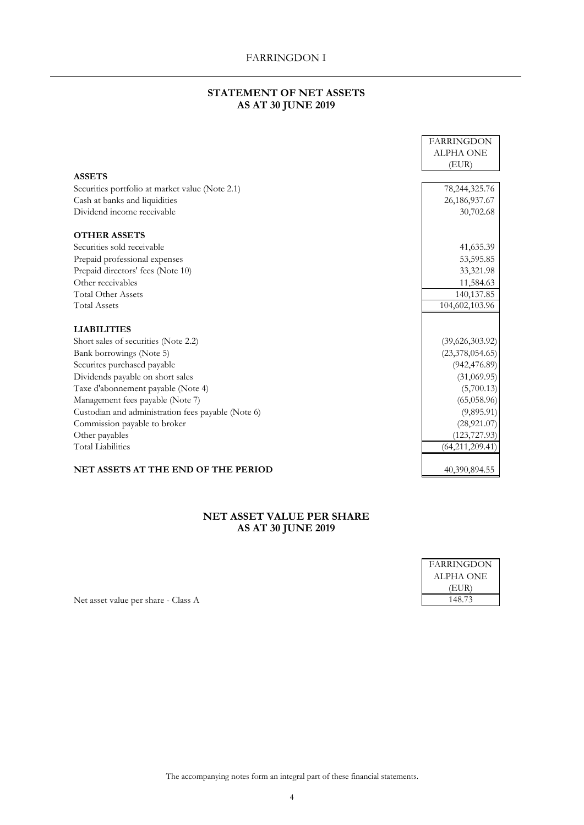# **STATEMENT OF NET ASSETS AS AT 30 JUNE 2019**

|                                                    | <b>FARRINGDON</b> |
|----------------------------------------------------|-------------------|
|                                                    | <b>ALPHA ONE</b>  |
|                                                    | (EUR)             |
| <b>ASSETS</b>                                      |                   |
| Securities portfolio at market value (Note 2.1)    | 78, 244, 325. 76  |
| Cash at banks and liquidities                      | 26, 186, 937. 67  |
| Dividend income receivable                         | 30,702.68         |
| <b>OTHER ASSETS</b>                                |                   |
| Securities sold receivable                         | 41,635.39         |
| Prepaid professional expenses                      | 53,595.85         |
| Prepaid directors' fees (Note 10)                  | 33,321.98         |
| Other receivables                                  | 11,584.63         |
| <b>Total Other Assets</b>                          | 140,137.85        |
| <b>Total Assets</b>                                | 104,602,103.96    |
| <b>LIABILITIES</b>                                 |                   |
| Short sales of securities (Note 2.2)               | (39,626,303.92)   |
| Bank borrowings (Note 5)                           | (23,378,054.65)   |
| Securites purchased payable                        | (942, 476.89)     |
| Dividends payable on short sales                   | (31,069.95)       |
| Taxe d'abonnement payable (Note 4)                 | (5,700.13)        |
| Management fees payable (Note 7)                   | (65,058.96)       |
| Custodian and administration fees payable (Note 6) | (9,895.91)        |
| Commission payable to broker                       | (28,921.07)       |
| Other payables                                     | (123, 727.93)     |
| <b>Total Liabilities</b>                           | (64,211,209.41)   |
| <b>NET ASSETS AT THE END OF THE PERIOD</b>         | 40,390,894.55     |

# **NET ASSET VALUE PER SHARE AS AT 30 JUNE 2019**

| FARRINGDON |
|------------|
| ALPHA ONE  |
| (EUR)      |
| 148.73     |

ř.

Net asset value per share - Class A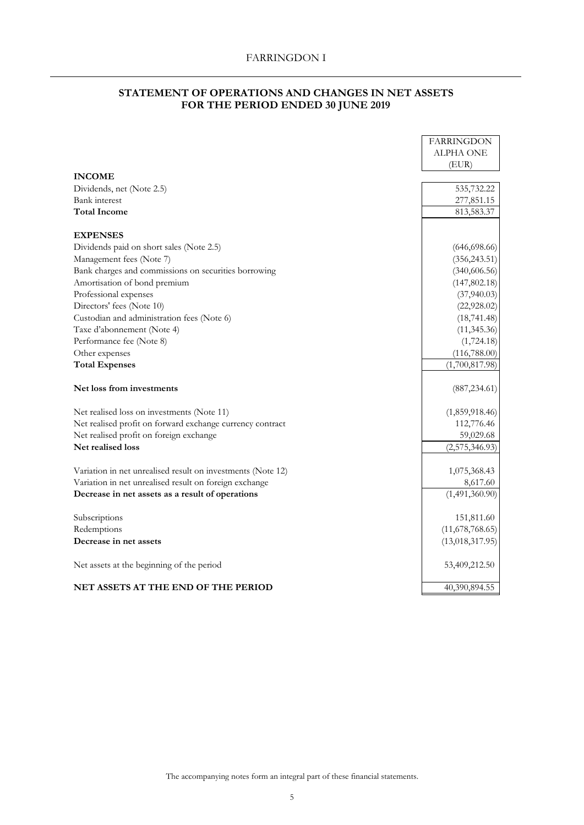# **STATEMENT OF OPERATIONS AND CHANGES IN NET ASSETS FOR THE PERIOD ENDED 30 JUNE 2019**

|                                                             | <b>FARRINGDON</b> |
|-------------------------------------------------------------|-------------------|
|                                                             | ALPHA ONE         |
|                                                             | (EUR)             |
| <b>INCOME</b>                                               |                   |
| Dividends, net (Note 2.5)                                   | 535,732.22        |
| Bank interest                                               | 277,851.15        |
| <b>Total Income</b>                                         | 813,583.37        |
| <b>EXPENSES</b>                                             |                   |
| Dividends paid on short sales (Note 2.5)                    | (646,698.66)      |
| Management fees (Note 7)                                    | (356, 243.51)     |
| Bank charges and commissions on securities borrowing        | (340,606.56)      |
| Amortisation of bond premium                                | (147, 802.18)     |
| Professional expenses                                       | (37,940.03)       |
| Directors' fees (Note 10)                                   | (22,928.02)       |
| Custodian and administration fees (Note 6)                  | (18,741.48)       |
| Taxe d'abonnement (Note 4)                                  | (11,345.36)       |
| Performance fee (Note 8)                                    | (1,724.18)        |
| Other expenses                                              | (116,788.00)      |
| <b>Total Expenses</b>                                       | (1,700,817.98)    |
| Net loss from investments                                   | (887, 234.61)     |
| Net realised loss on investments (Note 11)                  | (1,859,918.46)    |
| Net realised profit on forward exchange currency contract   | 112,776.46        |
| Net realised profit on foreign exchange                     | 59,029.68         |
| Net realised loss                                           | (2,575,346.93)    |
| Variation in net unrealised result on investments (Note 12) | 1,075,368.43      |
| Variation in net unrealised result on foreign exchange      | 8,617.60          |
| Decrease in net assets as a result of operations            | (1,491,360.90)    |
| Subscriptions                                               | 151,811.60        |
| Redemptions                                                 | (11,678,768.65)   |
| Decrease in net assets                                      | (13,018,317.95)   |
| Net assets at the beginning of the period                   | 53,409,212.50     |
| NET ASSETS AT THE END OF THE PERIOD                         | 40,390,894.55     |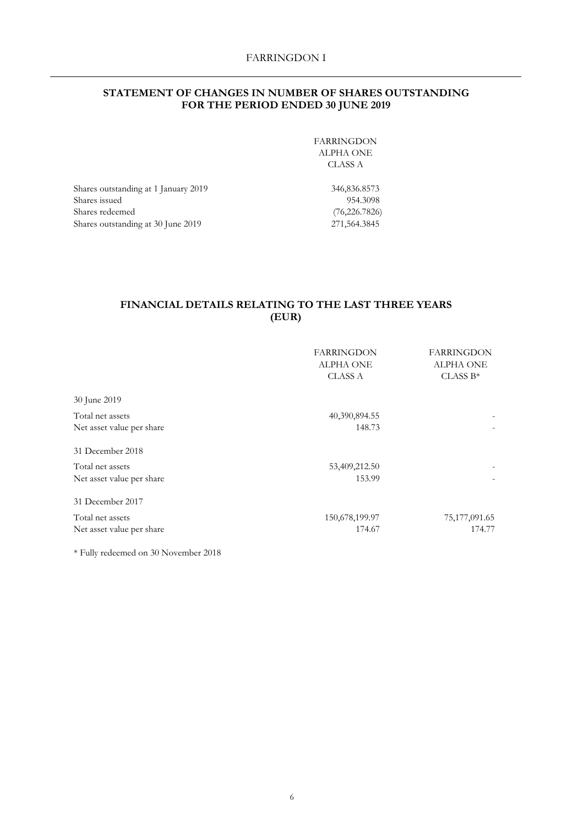# **STATEMENT OF CHANGES IN NUMBER OF SHARES OUTSTANDING FOR THE PERIOD ENDED 30 JUNE 2019**

FARRINGDON ALPHA ONE CLASS A

Shares outstanding at 1 January 2019 346,836.8573 Shares issued 954.3098 Shares redeemed (76,226.7826) Shares outstanding at 30 June 2019 271,564.3845

# **FINANCIAL DETAILS RELATING TO THE LAST THREE YEARS (EUR)**

|                           | <b>FARRINGDON</b><br><b>ALPHA ONE</b><br><b>CLASS A</b> | <b>FARRINGDON</b><br><b>ALPHA ONE</b><br>$CLASS B*$ |
|---------------------------|---------------------------------------------------------|-----------------------------------------------------|
| 30 June 2019              |                                                         |                                                     |
| Total net assets          | 40,390,894.55                                           |                                                     |
| Net asset value per share | 148.73                                                  |                                                     |
| 31 December 2018          |                                                         |                                                     |
| Total net assets          | 53,409,212.50                                           |                                                     |
| Net asset value per share | 153.99                                                  |                                                     |
| 31 December 2017          |                                                         |                                                     |
| Total net assets          | 150,678,199.97                                          | 75,177,091.65                                       |
| Net asset value per share | 174.67                                                  | 174.77                                              |

\* Fully redeemed on 30 November 2018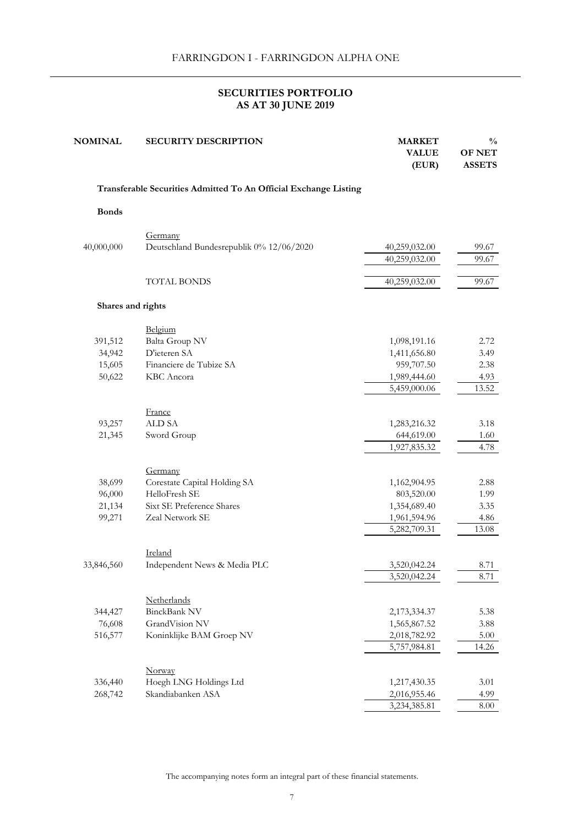# **SECURITIES PORTFOLIO AS AT 30 JUNE 2019**

| Transferable Securities Admitted To An Official Exchange Listing<br><b>Bonds</b><br>Germany<br>40,000,000<br>Deutschland Bundesrepublik 0% 12/06/2020<br>40,259,032.00<br>40,259,032.00<br><b>TOTAL BONDS</b><br>40,259,032.00<br>Shares and rights<br>Belgium<br>Balta Group NV<br>391,512<br>1,098,191.16<br>D'ieteren SA<br>1,411,656.80<br>34,942<br>3.49<br>Financiere de Tubize SA<br>959,707.50<br>15,605<br>2.38<br>50,622<br>KBC Ancora<br>1,989,444.60<br>4.93<br>13.52<br>5,459,000.06<br>France<br>ALD SA<br>93,257<br>1,283,216.32<br>Sword Group<br>21,345<br>644,619.00<br>1,927,835.32<br>Germany<br>Corestate Capital Holding SA<br>38,699<br>1,162,904.95<br>HelloFresh SE<br>803,520.00<br>96,000<br>Sixt SE Preference Shares<br>1,354,689.40<br>21,134<br>Zeal Network SE<br>99,271<br>1,961,594.96 | <b>NOMINAL</b> | <b>SECURITY DESCRIPTION</b> | <b>MARKET</b><br><b>VALUE</b><br>(EUR) | $\frac{0}{0}$<br><b>OF NET</b><br><b>ASSETS</b> |
|--------------------------------------------------------------------------------------------------------------------------------------------------------------------------------------------------------------------------------------------------------------------------------------------------------------------------------------------------------------------------------------------------------------------------------------------------------------------------------------------------------------------------------------------------------------------------------------------------------------------------------------------------------------------------------------------------------------------------------------------------------------------------------------------------------------------------|----------------|-----------------------------|----------------------------------------|-------------------------------------------------|
|                                                                                                                                                                                                                                                                                                                                                                                                                                                                                                                                                                                                                                                                                                                                                                                                                          |                |                             |                                        |                                                 |
|                                                                                                                                                                                                                                                                                                                                                                                                                                                                                                                                                                                                                                                                                                                                                                                                                          |                |                             |                                        |                                                 |
|                                                                                                                                                                                                                                                                                                                                                                                                                                                                                                                                                                                                                                                                                                                                                                                                                          |                |                             |                                        |                                                 |
|                                                                                                                                                                                                                                                                                                                                                                                                                                                                                                                                                                                                                                                                                                                                                                                                                          |                |                             |                                        | 99.67                                           |
|                                                                                                                                                                                                                                                                                                                                                                                                                                                                                                                                                                                                                                                                                                                                                                                                                          |                |                             |                                        | 99.67                                           |
|                                                                                                                                                                                                                                                                                                                                                                                                                                                                                                                                                                                                                                                                                                                                                                                                                          |                |                             |                                        | 99.67                                           |
|                                                                                                                                                                                                                                                                                                                                                                                                                                                                                                                                                                                                                                                                                                                                                                                                                          |                |                             |                                        |                                                 |
|                                                                                                                                                                                                                                                                                                                                                                                                                                                                                                                                                                                                                                                                                                                                                                                                                          |                |                             |                                        |                                                 |
|                                                                                                                                                                                                                                                                                                                                                                                                                                                                                                                                                                                                                                                                                                                                                                                                                          |                |                             |                                        |                                                 |
|                                                                                                                                                                                                                                                                                                                                                                                                                                                                                                                                                                                                                                                                                                                                                                                                                          |                |                             |                                        | 2.72                                            |
|                                                                                                                                                                                                                                                                                                                                                                                                                                                                                                                                                                                                                                                                                                                                                                                                                          |                |                             |                                        |                                                 |
|                                                                                                                                                                                                                                                                                                                                                                                                                                                                                                                                                                                                                                                                                                                                                                                                                          |                |                             |                                        |                                                 |
|                                                                                                                                                                                                                                                                                                                                                                                                                                                                                                                                                                                                                                                                                                                                                                                                                          |                |                             |                                        |                                                 |
|                                                                                                                                                                                                                                                                                                                                                                                                                                                                                                                                                                                                                                                                                                                                                                                                                          |                |                             |                                        |                                                 |
|                                                                                                                                                                                                                                                                                                                                                                                                                                                                                                                                                                                                                                                                                                                                                                                                                          |                |                             |                                        |                                                 |
|                                                                                                                                                                                                                                                                                                                                                                                                                                                                                                                                                                                                                                                                                                                                                                                                                          |                |                             |                                        | 3.18                                            |
|                                                                                                                                                                                                                                                                                                                                                                                                                                                                                                                                                                                                                                                                                                                                                                                                                          |                |                             |                                        | 1.60                                            |
|                                                                                                                                                                                                                                                                                                                                                                                                                                                                                                                                                                                                                                                                                                                                                                                                                          |                |                             |                                        | 4.78                                            |
|                                                                                                                                                                                                                                                                                                                                                                                                                                                                                                                                                                                                                                                                                                                                                                                                                          |                |                             |                                        |                                                 |
|                                                                                                                                                                                                                                                                                                                                                                                                                                                                                                                                                                                                                                                                                                                                                                                                                          |                |                             |                                        | 2.88                                            |
|                                                                                                                                                                                                                                                                                                                                                                                                                                                                                                                                                                                                                                                                                                                                                                                                                          |                |                             |                                        | 1.99                                            |
|                                                                                                                                                                                                                                                                                                                                                                                                                                                                                                                                                                                                                                                                                                                                                                                                                          |                |                             |                                        | 3.35                                            |
|                                                                                                                                                                                                                                                                                                                                                                                                                                                                                                                                                                                                                                                                                                                                                                                                                          |                |                             |                                        | 4.86                                            |
|                                                                                                                                                                                                                                                                                                                                                                                                                                                                                                                                                                                                                                                                                                                                                                                                                          |                |                             | 5,282,709.31                           | 13.08                                           |
|                                                                                                                                                                                                                                                                                                                                                                                                                                                                                                                                                                                                                                                                                                                                                                                                                          |                |                             |                                        |                                                 |
| Ireland                                                                                                                                                                                                                                                                                                                                                                                                                                                                                                                                                                                                                                                                                                                                                                                                                  |                |                             |                                        |                                                 |
| 33,846,560<br>Independent News & Media PLC<br>3,520,042.24                                                                                                                                                                                                                                                                                                                                                                                                                                                                                                                                                                                                                                                                                                                                                               |                |                             |                                        | 8.71                                            |
| 3,520,042.24                                                                                                                                                                                                                                                                                                                                                                                                                                                                                                                                                                                                                                                                                                                                                                                                             |                |                             |                                        | 8.71                                            |
| Netherlands                                                                                                                                                                                                                                                                                                                                                                                                                                                                                                                                                                                                                                                                                                                                                                                                              |                |                             |                                        |                                                 |
| BinckBank NV<br>344,427<br>2,173,334.37                                                                                                                                                                                                                                                                                                                                                                                                                                                                                                                                                                                                                                                                                                                                                                                  |                |                             |                                        | 5.38                                            |
| GrandVision NV<br>76,608<br>1,565,867.52                                                                                                                                                                                                                                                                                                                                                                                                                                                                                                                                                                                                                                                                                                                                                                                 |                |                             |                                        | 3.88                                            |
| Koninklijke BAM Groep NV<br>516,577<br>2,018,782.92                                                                                                                                                                                                                                                                                                                                                                                                                                                                                                                                                                                                                                                                                                                                                                      |                |                             |                                        | 5.00                                            |
| 5,757,984.81                                                                                                                                                                                                                                                                                                                                                                                                                                                                                                                                                                                                                                                                                                                                                                                                             |                |                             |                                        | 14.26                                           |
| Norway                                                                                                                                                                                                                                                                                                                                                                                                                                                                                                                                                                                                                                                                                                                                                                                                                   |                |                             |                                        |                                                 |
| Hoegh LNG Holdings Ltd<br>336,440<br>1,217,430.35                                                                                                                                                                                                                                                                                                                                                                                                                                                                                                                                                                                                                                                                                                                                                                        |                |                             |                                        | 3.01                                            |
| Skandiabanken ASA<br>268,742<br>2,016,955.46                                                                                                                                                                                                                                                                                                                                                                                                                                                                                                                                                                                                                                                                                                                                                                             |                |                             |                                        | 4.99                                            |
| 3,234,385.81                                                                                                                                                                                                                                                                                                                                                                                                                                                                                                                                                                                                                                                                                                                                                                                                             |                |                             |                                        | 8.00                                            |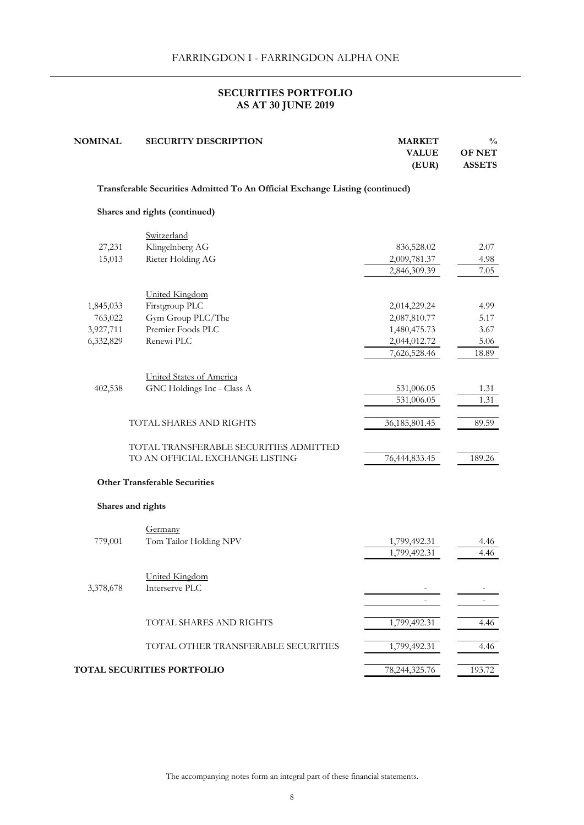# **SECURITIES PORTFOLIO AS AT 30 JUNE 2019**

| <b>NOMINAL</b>    | <b>SECURITY DESCRIPTION</b>                                                  | <b>MARKET</b><br><b>VALUE</b><br>(EUR) | $\frac{0}{0}$<br><b>OF NET</b><br><b>ASSETS</b> |
|-------------------|------------------------------------------------------------------------------|----------------------------------------|-------------------------------------------------|
|                   | Transferable Securities Admitted To An Official Exchange Listing (continued) |                                        |                                                 |
|                   | Shares and rights (continued)                                                |                                        |                                                 |
|                   | Switzerland                                                                  |                                        |                                                 |
| 27,231            | Klingelnberg AG                                                              | 836,528.02                             | 2.07                                            |
| 15,013            | Rieter Holding AG                                                            | 2,009,781.37                           | 4.98                                            |
|                   |                                                                              | 2,846,309.39                           | 7.05                                            |
|                   | United Kingdom                                                               |                                        |                                                 |
| 1,845,033         | Firstgroup PLC                                                               | 2,014,229.24                           | 4.99                                            |
| 763,022           | Gym Group PLC/The                                                            | 2,087,810.77                           | 5.17                                            |
| 3,927,711         | Premier Foods PLC                                                            | 1,480,475.73                           | 3.67                                            |
| 6,332,829         | Renewi PLC                                                                   | 2,044,012.72                           | 5.06                                            |
|                   |                                                                              | 7,626,528.46                           | 18.89                                           |
|                   | United States of America                                                     |                                        |                                                 |
| 402,538           | GNC Holdings Inc - Class A                                                   | 531,006.05                             | 1.31                                            |
|                   |                                                                              | 531,006.05                             | 1.31                                            |
|                   | TOTAL SHARES AND RIGHTS                                                      | 36,185,801.45                          | 89.59                                           |
|                   |                                                                              |                                        |                                                 |
|                   | TOTAL TRANSFERABLE SECURITIES ADMITTED<br>TO AN OFFICIAL EXCHANGE LISTING    | 76,444,833.45                          | 189.26                                          |
|                   | <b>Other Transferable Securities</b>                                         |                                        |                                                 |
|                   |                                                                              |                                        |                                                 |
| Shares and rights |                                                                              |                                        |                                                 |
|                   | Germany                                                                      |                                        |                                                 |
| 779,001           | Tom Tailor Holding NPV                                                       | 1,799,492.31                           | 4.46                                            |
|                   |                                                                              | 1,799,492.31                           | 4.46                                            |
|                   | United Kingdom                                                               |                                        |                                                 |
| 3,378,678         | Interserve PLC                                                               |                                        |                                                 |
|                   |                                                                              |                                        |                                                 |
|                   | TOTAL SHARES AND RIGHTS                                                      | 1,799,492.31                           | 4.46                                            |
|                   | TOTAL OTHER TRANSFERABLE SECURITIES                                          | 1,799,492.31                           | 4.46                                            |
|                   | TOTAL SECURITIES PORTFOLIO                                                   | 78,244,325.76                          | 193.72                                          |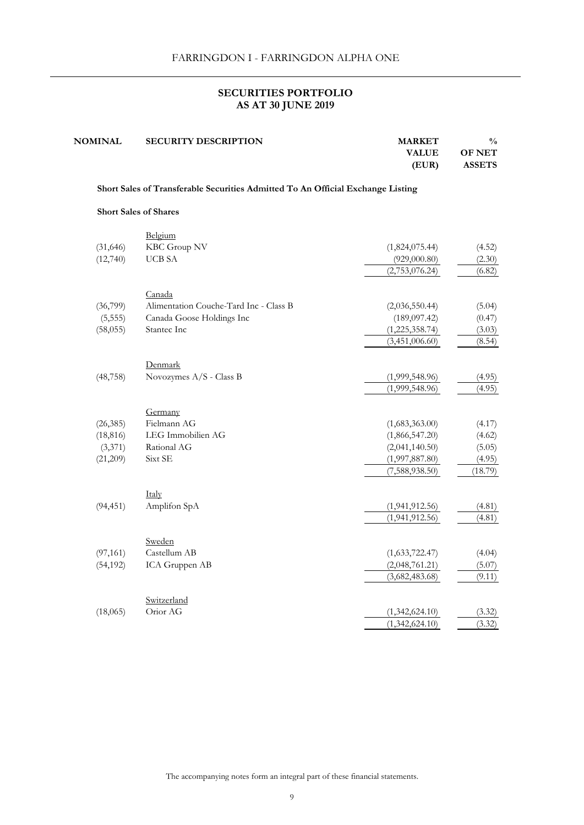# **AS AT 30 JUNE 2019 SECURITIES PORTFOLIO**

| <b>NOMINAL</b> | <b>SECURITY DESCRIPTION</b> | <b>MARKET</b> | $\frac{0}{0}$ |
|----------------|-----------------------------|---------------|---------------|
|                |                             | <b>VALUE</b>  | <b>OF NET</b> |
|                |                             | (EUR)         | <b>ASSETS</b> |
|                |                             |               |               |

# **Short Sales of Transferable Securities Admitted To An Official Exchange Listing**

## **Short Sales of Shares**

|           | Belgium                                |                |         |
|-----------|----------------------------------------|----------------|---------|
| (31, 646) | KBC Group NV                           | (1,824,075.44) | (4.52)  |
| (12,740)  | <b>UCB SA</b>                          | (929,000.80)   | (2.30)  |
|           |                                        | (2,753,076.24) | (6.82)  |
|           | Canada                                 |                |         |
| (36,799)  | Alimentation Couche-Tard Inc - Class B | (2,036,550.44) | (5.04)  |
| (5, 555)  | Canada Goose Holdings Inc              | (189, 097.42)  | (0.47)  |
| (58,055)  | Stantec Inc                            | (1,225,358.74) | (3.03)  |
|           |                                        | (3,451,006.60) | (8.54)  |
|           |                                        |                |         |
|           | Denmark                                |                |         |
| (48, 758) | Novozymes A/S - Class B                | (1,999,548.96) | (4.95)  |
|           |                                        | (1,999,548.96) | (4.95)  |
|           | Germany                                |                |         |
| (26, 385) | Fielmann AG                            | (1,683,363.00) | (4.17)  |
| (18, 816) | LEG Immobilien AG                      | (1,866,547.20) | (4.62)  |
| (3,371)   | Rational AG                            | (2,041,140.50) | (5.05)  |
| (21,209)  | Sixt SE                                | (1,997,887.80) | (4.95)  |
|           |                                        | (7,588,938.50) | (18.79) |
|           | Italy                                  |                |         |
| (94, 451) | Amplifon SpA                           | (1,941,912.56) | (4.81)  |
|           |                                        | (1,941,912.56) | (4.81)  |
|           | Sweden                                 |                |         |
| (97, 161) | Castellum AB                           | (1,633,722.47) | (4.04)  |
| (54, 192) | ICA Gruppen AB                         | (2,048,761.21) | (5.07)  |
|           |                                        | (3,682,483.68) | (9.11)  |
|           |                                        |                |         |
| (18,065)  | Switzerland<br>Orior AG                | (1,342,624.10) | (3.32)  |
|           |                                        |                |         |
|           |                                        | (1,342,624.10) | (3.32)  |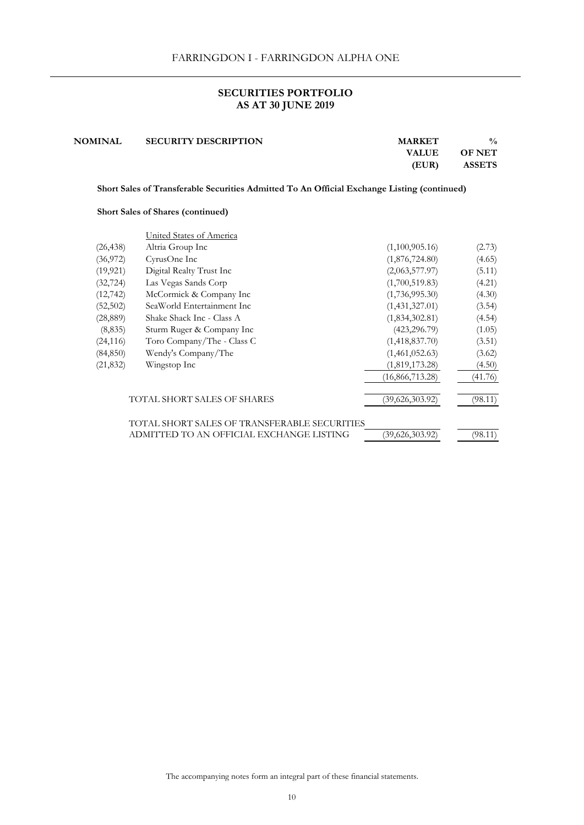# **AS AT 30 JUNE 2019 SECURITIES PORTFOLIO**

| <b>NOMINAL</b> | <b>SECURITY DESCRIPTION</b> | <b>MARKET</b> | $\frac{0}{0}$ |
|----------------|-----------------------------|---------------|---------------|
|                |                             | <b>VALUE</b>  | <b>OF NET</b> |
|                |                             | (EUR)         | <b>ASSETS</b> |
|                |                             |               |               |

 **Short Sales of Transferable Securities Admitted To An Official Exchange Listing (continued)**

## **Short Sales of Shares (continued)**

|           | United States of America                     |                 |         |
|-----------|----------------------------------------------|-----------------|---------|
| (26, 438) | Altria Group Inc                             | (1,100,905.16)  | (2.73)  |
| (36,972)  | CyrusOne Inc                                 | (1,876,724.80)  | (4.65)  |
| (19, 921) | Digital Realty Trust Inc                     | (2,063,577.97)  | (5.11)  |
| (32, 724) | Las Vegas Sands Corp                         | (1,700,519.83)  | (4.21)  |
| (12, 742) | McCormick & Company Inc                      | (1,736,995.30)  | (4.30)  |
| (52, 502) | SeaWorld Entertainment Inc                   | (1,431,327.01)  | (3.54)  |
| (28, 889) | Shake Shack Inc - Class A                    | (1,834,302.81)  | (4.54)  |
| (8,835)   | Sturm Ruger & Company Inc                    | (423, 296.79)   | (1.05)  |
| (24, 116) | Toro Company/The - Class C                   | (1,418,837.70)  | (3.51)  |
| (84, 850) | Wendy's Company/The                          | (1,461,052.63)  | (3.62)  |
| (21, 832) | Wingstop Inc                                 | (1,819,173.28)  | (4.50)  |
|           |                                              | (16,866,713.28) | (41.76) |
|           | TOTAL SHORT SALES OF SHARES                  | (39,626,303.92) | (98.11) |
|           | TOTAL SHORT SALES OF TRANSFERABLE SECURITIES |                 |         |
|           | ADMITTED TO AN OFFICIAL EXCHANGE LISTING     | (39,626,303.92) | (98.11) |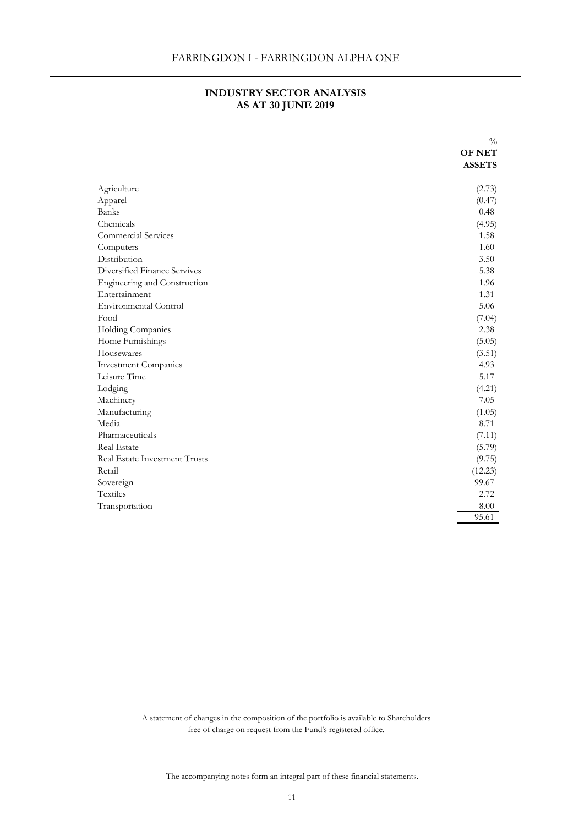# **AS AT 30 JUNE 2019 INDUSTRY SECTOR ANALYSIS**

|                                      | $\frac{0}{0}$ |
|--------------------------------------|---------------|
|                                      | <b>OF NET</b> |
|                                      | <b>ASSETS</b> |
|                                      |               |
| Agriculture                          | (2.73)        |
| Apparel                              | (0.47)        |
| Banks                                | 0.48          |
| Chemicals                            | (4.95)        |
| Commercial Services                  | 1.58          |
| Computers                            | 1.60          |
| Distribution                         | 3.50          |
| Diversified Finance Servives         | 5.38          |
| Engineering and Construction         | 1.96          |
| Entertainment                        | 1.31          |
| Environmental Control                | 5.06          |
| Food                                 | (7.04)        |
| Holding Companies                    | 2.38          |
| Home Furnishings                     | (5.05)        |
| Housewares                           | (3.51)        |
| <b>Investment Companies</b>          | 4.93          |
| Leisure Time                         | 5.17          |
| Lodging                              | (4.21)        |
| Machinery                            | 7.05          |
| Manufacturing                        | (1.05)        |
| Media                                | 8.71          |
| Pharmaceuticals                      | (7.11)        |
| Real Estate                          | (5.79)        |
| <b>Real Estate Investment Trusts</b> | (9.75)        |
| Retail                               | (12.23)       |
| Sovereign                            | 99.67         |
| Textiles                             | 2.72          |
| Transportation                       | 8.00          |
|                                      | 95.61         |

A statement of changes in the composition of the portfolio is available to Shareholders free of charge on request from the Fund's registered office.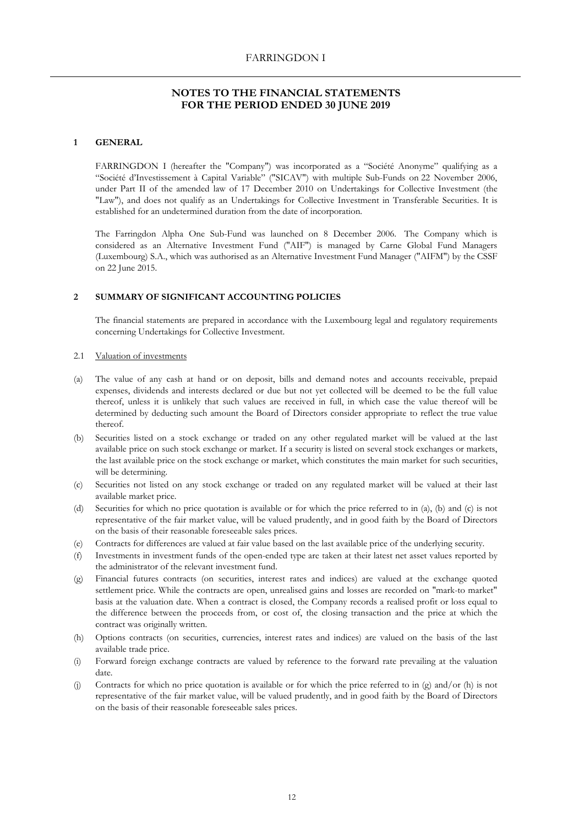### **NOTES TO THE FINANCIAL STATEMENTS FOR THE PERIOD ENDED 30 JUNE 2019**

#### **1 GENERAL**

FARRINGDON I (hereafter the "Company") was incorporated as a "Société Anonyme" qualifying as a "Société d'Investissement à Capital Variable" ("SICAV") with multiple Sub-Funds on 22 November 2006, under Part II of the amended law of 17 December 2010 on Undertakings for Collective Investment (the "Law"), and does not qualify as an Undertakings for Collective Investment in Transferable Securities. It is established for an undetermined duration from the date of incorporation.

The Farringdon Alpha One Sub-Fund was launched on 8 December 2006. The Company which is considered as an Alternative Investment Fund ("AIF") is managed by Carne Global Fund Managers (Luxembourg) S.A., which was authorised as an Alternative Investment Fund Manager ("AIFM") by the CSSF on 22 June 2015.

#### **2 SUMMARY OF SIGNIFICANT ACCOUNTING POLICIES**

The financial statements are prepared in accordance with the Luxembourg legal and regulatory requirements concerning Undertakings for Collective Investment.

### 2.1 Valuation of investments

- (a) The value of any cash at hand or on deposit, bills and demand notes and accounts receivable, prepaid expenses, dividends and interests declared or due but not yet collected will be deemed to be the full value thereof, unless it is unlikely that such values are received in full, in which case the value thereof will be determined by deducting such amount the Board of Directors consider appropriate to reflect the true value thereof.
- $(b)$ Securities listed on a stock exchange or traded on any other regulated market will be valued at the last available price on such stock exchange or market. If a security is listed on several stock exchanges or markets, the last available price on the stock exchange or market, which constitutes the main market for such securities, will be determining.
- (c) Securities not listed on any stock exchange or traded on any regulated market will be valued at their last available market price.
- (d) Securities for which no price quotation is available or for which the price referred to in (a), (b) and (c) is not representative of the fair market value, will be valued prudently, and in good faith by the Board of Directors on the basis of their reasonable foreseeable sales prices.
- (e) Contracts for differences are valued at fair value based on the last available price of the underlying security.
- $(f)$ Investments in investment funds of the open-ended type are taken at their latest net asset values reported by the administrator of the relevant investment fund.
- $(g)$ Financial futures contracts (on securities, interest rates and indices) are valued at the exchange quoted settlement price. While the contracts are open, unrealised gains and losses are recorded on "mark-to market" basis at the valuation date. When a contract is closed, the Company records a realised profit or loss equal to the difference between the proceeds from, or cost of, the closing transaction and the price at which the contract was originally written.
- (h) Options contracts (on securities, currencies, interest rates and indices) are valued on the basis of the last available trade price.
- (i) Forward foreign exchange contracts are valued by reference to the forward rate prevailing at the valuation date.
- (i) Contracts for which no price quotation is available or for which the price referred to in (g) and/or (h) is not representative of the fair market value, will be valued prudently, and in good faith by the Board of Directors on the basis of their reasonable foreseeable sales prices.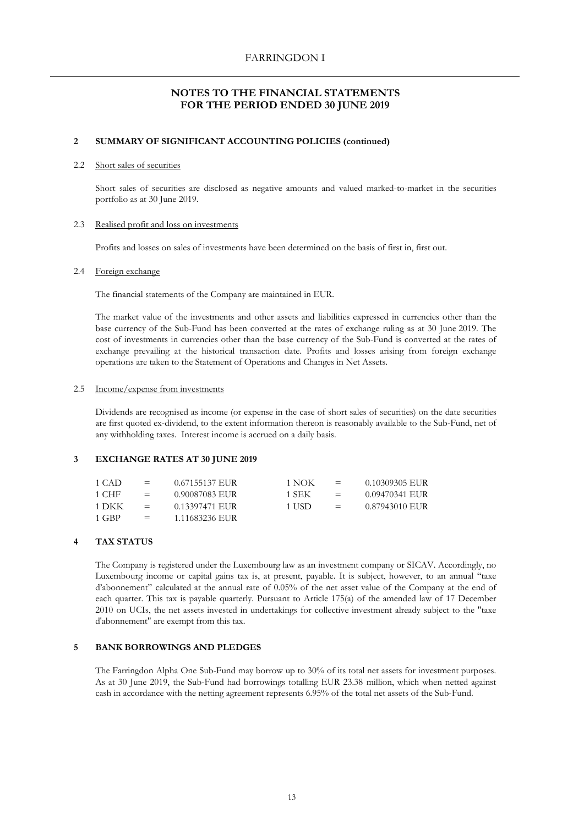## **NOTES TO THE FINANCIAL STATEMENTS FOR THE PERIOD ENDED 30 JUNE 2019**

#### **2 SUMMARY OF SIGNIFICANT ACCOUNTING POLICIES (continued)**

### 2.2 Short sales of securities

Short sales of securities are disclosed as negative amounts and valued marked-to-market in the securities portfolio as at 30 June 2019.

### 2.3 Realised profit and loss on investments

Profits and losses on sales of investments have been determined on the basis of first in, first out.

### 2.4 Foreign exchange

The financial statements of the Company are maintained in EUR.

The market value of the investments and other assets and liabilities expressed in currencies other than the base currency of the Sub-Fund has been converted at the rates of exchange ruling as at 30 June 2019. The cost of investments in currencies other than the base currency of the Sub-Fund is converted at the rates of exchange prevailing at the historical transaction date. Profits and losses arising from foreign exchange operations are taken to the Statement of Operations and Changes in Net Assets.

### 2.5 Income/expense from investments

Dividends are recognised as income (or expense in the case of short sales of securities) on the date securities are first quoted ex-dividend, to the extent information thereon is reasonably available to the Sub-Fund, net of any withholding taxes. Interest income is accrued on a daily basis.

### **3 EXCHANGE RATES AT 30 JUNE 2019**

| 1 CAD | $=$ | 0.67155137 EUR | 1 NOK  | $=$ | 0.10309305 EUR |
|-------|-----|----------------|--------|-----|----------------|
| 1 CHF | $=$ | 0.90087083 EUR | 1 SEK  | - = | 0.09470341 EUR |
| 1 DKK | $=$ | 0.13397471 EUR | 1 USD. | $=$ | 0.87943010 EUR |
| 1 GBP | $=$ | 1.11683236 EUR |        |     |                |

### **4 TAX STATUS**

The Company is registered under the Luxembourg law as an investment company or SICAV. Accordingly, no Luxembourg income or capital gains tax is, at present, payable. It is subject, however, to an annual "taxe d'abonnement" calculated at the annual rate of 0.05% of the net asset value of the Company at the end of each quarter. This tax is payable quarterly. Pursuant to Article 175(a) of the amended law of 17 December 2010 on UCIs, the net assets invested in undertakings for collective investment already subject to the "taxe d'abonnement" are exempt from this tax.

### **5 BANK BORROWINGS AND PLEDGES**

The Farringdon Alpha One Sub-Fund may borrow up to 30% of its total net assets for investment purposes. As at 30 June 2019, the Sub-Fund had borrowings totalling EUR 23.38 million, which when netted against cash in accordance with the netting agreement represents 6.95% of the total net assets of the Sub-Fund.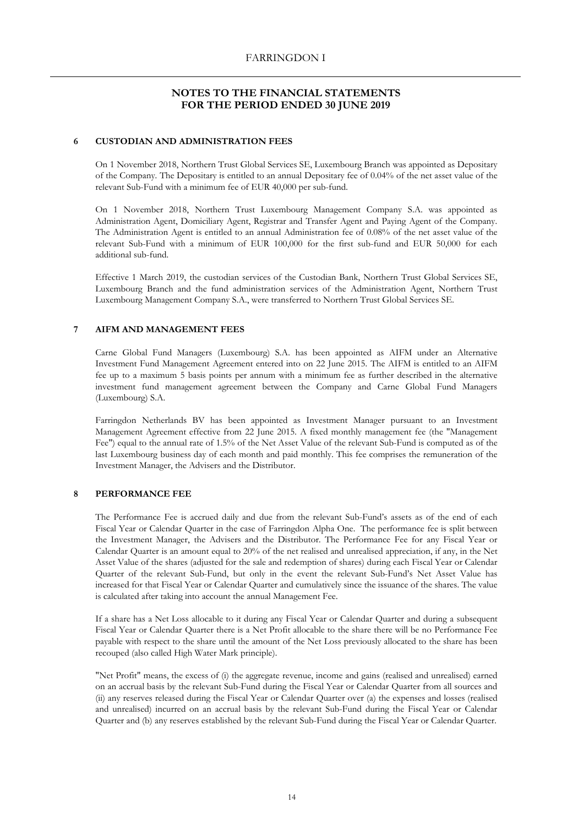## **NOTES TO THE FINANCIAL STATEMENTS FOR THE PERIOD ENDED 30 JUNE 2019**

### **6 CUSTODIAN AND ADMINISTRATION FEES**

On 1 November 2018, Northern Trust Global Services SE, Luxembourg Branch was appointed as Depositary of the Company. The Depositary is entitled to an annual Depositary fee of 0.04% of the net asset value of the relevant Sub-Fund with a minimum fee of EUR 40,000 per sub-fund.

On 1 November 2018, Northern Trust Luxembourg Management Company S.A. was appointed as Administration Agent, Domiciliary Agent, Registrar and Transfer Agent and Paying Agent of the Company. The Administration Agent is entitled to an annual Administration fee of 0.08% of the net asset value of the relevant Sub-Fund with a minimum of EUR 100,000 for the first sub-fund and EUR 50,000 for each additional sub-fund.

Effective 1 March 2019, the custodian services of the Custodian Bank, Northern Trust Global Services SE, Luxembourg Branch and the fund administration services of the Administration Agent, Northern Trust Luxembourg Management Company S.A., were transferred to Northern Trust Global Services SE.

### **7 AIFM AND MANAGEMENT FEES**

Carne Global Fund Managers (Luxembourg) S.A. has been appointed as AIFM under an Alternative Investment Fund Management Agreement entered into on 22 June 2015. The AIFM is entitled to an AIFM fee up to a maximum 5 basis points per annum with a minimum fee as further described in the alternative investment fund management agreement between the Company and Carne Global Fund Managers (Luxembourg) S.A.

Farringdon Netherlands BV has been appointed as Investment Manager pursuant to an Investment Management Agreement effective from 22 June 2015. A fixed monthly management fee (the "Management Fee") equal to the annual rate of 1.5% of the Net Asset Value of the relevant Sub-Fund is computed as of the last Luxembourg business day of each month and paid monthly. This fee comprises the remuneration of the Investment Manager, the Advisers and the Distributor.

### **8 PERFORMANCE FEE**

The Performance Fee is accrued daily and due from the relevant Sub-Fund's assets as of the end of each Fiscal Year or Calendar Quarter in the case of Farringdon Alpha One. The performance fee is split between the Investment Manager, the Advisers and the Distributor. The Performance Fee for any Fiscal Year or Calendar Quarter is an amount equal to 20% of the net realised and unrealised appreciation, if any, in the Net Asset Value of the shares (adjusted for the sale and redemption of shares) during each Fiscal Year or Calendar Quarter of the relevant Sub-Fund, but only in the event the relevant Sub-Fund's Net Asset Value has increased for that Fiscal Year or Calendar Quarter and cumulatively since the issuance of the shares. The value is calculated after taking into account the annual Management Fee.

If a share has a Net Loss allocable to it during any Fiscal Year or Calendar Quarter and during a subsequent Fiscal Year or Calendar Quarter there is a Net Profit allocable to the share there will be no Performance Fee payable with respect to the share until the amount of the Net Loss previously allocated to the share has been recouped (also called High Water Mark principle).

"Net Profit" means, the excess of (i) the aggregate revenue, income and gains (realised and unrealised) earned on an accrual basis by the relevant Sub-Fund during the Fiscal Year or Calendar Quarter from all sources and (ii) any reserves released during the Fiscal Year or Calendar Quarter over (a) the expenses and losses (realised and unrealised) incurred on an accrual basis by the relevant Sub-Fund during the Fiscal Year or Calendar Quarter and (b) any reserves established by the relevant Sub-Fund during the Fiscal Year or Calendar Quarter.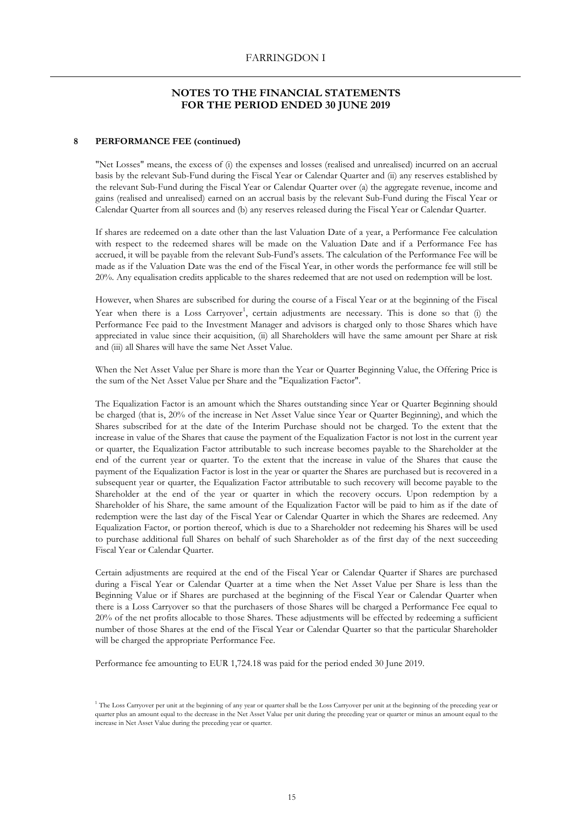## **NOTES TO THE FINANCIAL STATEMENTS FOR THE PERIOD ENDED 30 JUNE 2019**

### **8 PERFORMANCE FEE (continued)**

"Net Losses" means, the excess of (i) the expenses and losses (realised and unrealised) incurred on an accrual basis by the relevant Sub-Fund during the Fiscal Year or Calendar Quarter and (ii) any reserves established by the relevant Sub-Fund during the Fiscal Year or Calendar Quarter over (a) the aggregate revenue, income and gains (realised and unrealised) earned on an accrual basis by the relevant Sub-Fund during the Fiscal Year or Calendar Quarter from all sources and (b) any reserves released during the Fiscal Year or Calendar Quarter.

If shares are redeemed on a date other than the last Valuation Date of a year, a Performance Fee calculation with respect to the redeemed shares will be made on the Valuation Date and if a Performance Fee has accrued, it will be payable from the relevant Sub-Fund's assets. The calculation of the Performance Fee will be made as if the Valuation Date was the end of the Fiscal Year, in other words the performance fee will still be 20%. Any equalisation credits applicable to the shares redeemed that are not used on redemption will be lost.

However, when Shares are subscribed for during the course of a Fiscal Year or at the beginning of the Fiscal Year when there is a Loss Carryover<sup>1</sup>, certain adjustments are necessary. This is done so that (i) the Performance Fee paid to the Investment Manager and advisors is charged only to those Shares which have appreciated in value since their acquisition, (ii) all Shareholders will have the same amount per Share at risk and (iii) all Shares will have the same Net Asset Value.

When the Net Asset Value per Share is more than the Year or Quarter Beginning Value, the Offering Price is the sum of the Net Asset Value per Share and the "Equalization Factor".

The Equalization Factor is an amount which the Shares outstanding since Year or Quarter Beginning should be charged (that is, 20% of the increase in Net Asset Value since Year or Quarter Beginning), and which the Shares subscribed for at the date of the Interim Purchase should not be charged. To the extent that the increase in value of the Shares that cause the payment of the Equalization Factor is not lost in the current year or quarter, the Equalization Factor attributable to such increase becomes payable to the Shareholder at the end of the current year or quarter. To the extent that the increase in value of the Shares that cause the payment of the Equalization Factor is lost in the year or quarter the Shares are purchased but is recovered in a subsequent year or quarter, the Equalization Factor attributable to such recovery will become payable to the Shareholder at the end of the year or quarter in which the recovery occurs. Upon redemption by a Shareholder of his Share, the same amount of the Equalization Factor will be paid to him as if the date of redemption were the last day of the Fiscal Year or Calendar Quarter in which the Shares are redeemed. Any Equalization Factor, or portion thereof, which is due to a Shareholder not redeeming his Shares will be used to purchase additional full Shares on behalf of such Shareholder as of the first day of the next succeeding Fiscal Year or Calendar Quarter.

Certain adjustments are required at the end of the Fiscal Year or Calendar Quarter if Shares are purchased during a Fiscal Year or Calendar Quarter at a time when the Net Asset Value per Share is less than the Beginning Value or if Shares are purchased at the beginning of the Fiscal Year or Calendar Quarter when there is a Loss Carryover so that the purchasers of those Shares will be charged a Performance Fee equal to 20% of the net profits allocable to those Shares. These adjustments will be effected by redeeming a sufficient number of those Shares at the end of the Fiscal Year or Calendar Quarter so that the particular Shareholder will be charged the appropriate Performance Fee.

Performance fee amounting to EUR 1,724.18 was paid for the period ended 30 June 2019.

<sup>&</sup>lt;sup>1</sup> The Loss Carryover per unit at the beginning of any year or quarter shall be the Loss Carryover per unit at the beginning of the preceding year or quarter plus an amount equal to the decrease in the Net Asset Value per unit during the preceding year or quarter or minus an amount equal to the increase in Net Asset Value during the preceding year or quarter.